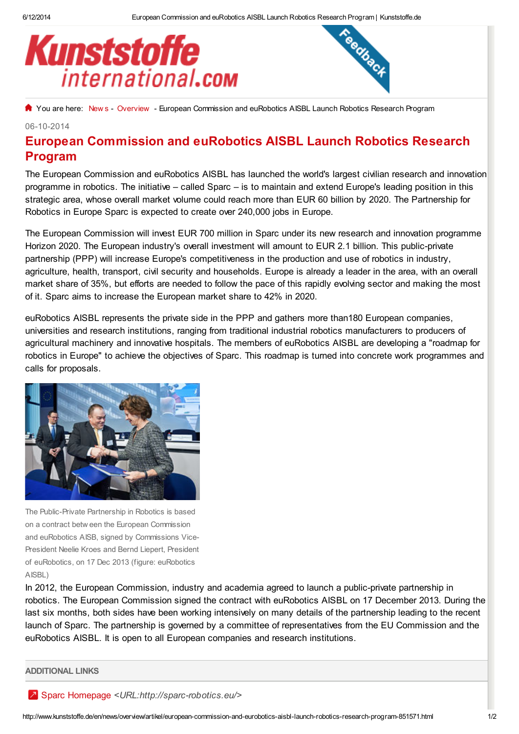



[Y](http://www.kunststoffe.de/)ou are here: [New](http://www.kunststoffe.de/en/news/overview) s - [Overview](http://www.kunststoffe.de/en/news/overview) - European Commission and euRobotics AISBL Launch Robotics Research Program

## 06-10-2014

## European Commission and euRobotics AISBL Launch Robotics Research Program

The European Commission and euRobotics AISBL has launched the world's largest civilian research and innovation programme in robotics. The initiative – called Sparc – is to maintain and extend Europe's leading position in this strategic area, whose overall market volume could reach more than EUR 60 billion by 2020. The Partnership for Robotics in Europe Sparc is expected to create over 240,000 jobs in Europe.

The European Commission will invest EUR 700 million in Sparc under its new research and innovation programme Horizon 2020. The European industry's overall investment will amount to EUR 2.1 billion. This public-private partnership (PPP) will increase Europe's competitiveness in the production and use of robotics in industry, agriculture, health, transport, civil security and households. Europe is already a leader in the area, with an overall market share of 35%, but efforts are needed to follow the pace of this rapidly evolving sector and making the most of it. Sparc aims to increase the European market share to 42% in 2020.

euRobotics AISBL represents the private side in the PPP and gathers more than180 European companies, universities and research institutions, ranging from traditional industrial robotics manufacturers to producers of agricultural machinery and innovative hospitals. The members of euRobotics AISBL are developing a "roadmap for robotics in Europe" to achieve the objectives of Sparc. This roadmap is turned into concrete work programmes and calls for proposals.



The Public-Private Partnership in Robotics is based on a contract betw een the European Commission and euRobotics AISB, signed by Commissions Vice-President Neelie Kroes and Bernd Liepert, President of euRobotics, on 17 Dec 2013 (figure: euRobotics AISBL)

In 2012, the European Commission, industry and academia agreed to launch a public-private partnership in robotics. The European Commission signed the contract with euRobotics AISBL on 17 December 2013. During the last six months, both sides have been working intensively on many details of the partnership leading to the recent launch of Sparc. The partnership is governed by a committee of representatives from the EU Commission and the euRobotics AISBL. It is open to all European companies and research institutions.

ADDITIONAL LINKS

Sparc Homepage [<URL:http://sparc-robotics.eu/>](http://sparc-robotics.eu/)